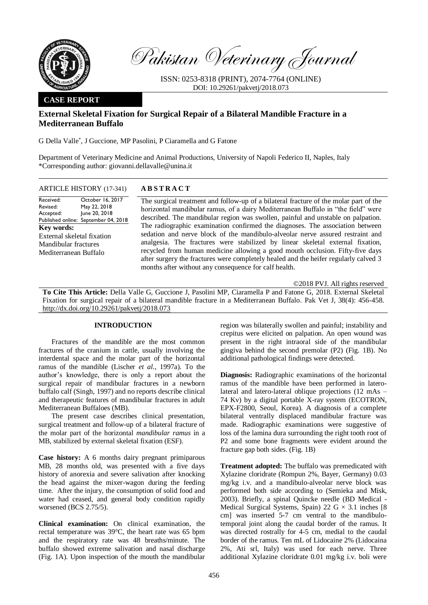

Pakistan Veterinary Journal

ISSN: 0253-8318 (PRINT), 2074-7764 (ONLINE) DOI: 10.29261/pakvetj/2018.073

### **CASE REPORT**

# **External Skeletal Fixation for Surgical Repair of a Bilateral Mandible Fracture in a Mediterranean Buffalo**

G Della Valle\* , J Guccione, MP Pasolini, P Ciaramella and G Fatone

Department of Veterinary Medicine and Animal Productions, University of Napoli Federico II, Naples, Italy \*Corresponding author: giovanni.dellavalle@unina.it

| <b>ABSTRACT</b><br><b>ARTICLE HISTORY</b> (17-341) |
|----------------------------------------------------|
|                                                    |

Received: Revised: Accepted: Published online: September 04, 2018 October 16, 2017 May 22, 2018 June 20, 2018 **Key words:**  External skeletal fixation Mandibular fractures Mediterranean Buffalo

The surgical treatment and follow-up of a bilateral fracture of the molar part of the horizontal mandibular ramus, of a dairy Mediterranean Buffalo in "the field" were described. The mandibular region was swollen, painful and unstable on palpation. The radiographic examination confirmed the diagnoses. The association between sedation and nerve block of the mandibulo-alveolar nerve assured restraint and analgesia. The fractures were stabilized by linear skeletal external fixation, recycled from human medicine allowing a good mouth occlusion. Fifty-five days after surgery the fractures were completely healed and the heifer regularly calved 3 months after without any consequence for calf health.

©2018 PVJ. All rights reserved

**To Cite This Article:** Della Valle G, Guccione J, Pasolini MP, Ciaramella P and Fatone G, 2018. External Skeletal Fixation for surgical repair of a bilateral mandible fracture in a Mediterranean Buffalo. Pak Vet J, 38(4): 456-458. [http://dx.doi.org/10.29261/pakvetj/2018.073](http://pvj.com.pk/pdf-files/38_4/456-458.pdf) 

## **INTRODUCTION**

Fractures of the mandible are the most common fractures of the cranium in cattle, usually involving the interdental space and the molar part of the horizontal ramus of the mandible (Lischer *et al*., 1997a). To the author's knowledge, there is only a report about the surgical repair of mandibular fractures in a newborn buffalo calf (Singh, 1997) and no reports describe clinical and therapeutic features of mandibular fractures in adult Mediterranean Buffaloes (MB).

The present case describes clinical presentation, surgical treatment and follow-up of a bilateral fracture of the molar part of the horizontal *mandibular ramus* in a MB, stabilized by external skeletal fixation (ESF).

**Case history:** A 6 months dairy pregnant primiparous MB, 28 months old, was presented with a five days history of anorexia and severe salivation after knocking the head against the mixer-wagon during the feeding time. After the injury, the consumption of solid food and water had ceased, and general body condition rapidly worsened (BCS 2.75/5).

**Clinical examination:** On clinical examination, the rectal temperature was 39°C, the heart rate was 65 bpm and the respiratory rate was 48 breaths/minute. The buffalo showed extreme salivation and nasal discharge (Fig. 1A). Upon inspection of the mouth the mandibular

region was bilaterally swollen and painful; instability and crepitus were elicited on palpation. An open wound was present in the right intraoral side of the mandibular gingiva behind the second premolar (P2) (Fig. 1B). No additional pathological findings were detected.

**Diagnosis:** Radiographic examinations of the horizontal ramus of the mandible have been performed in laterolateral and latero-lateral oblique projections (12 mAs – 74 Kv) by a digital portable X-ray system (ECOTRON, EPX-F2800, Seoul, Korea). A diagnosis of a complete bilateral ventrally displaced mandibular fracture was made. Radiographic examinations were suggestive of loss of the lamina dura surrounding the right tooth root of P2 and some bone fragments were evident around the fracture gap both sides. (Fig. 1B)

**Treatment adopted:** The buffalo was premedicated with Xylazine cloridrate (Rompun 2%, Bayer, Germany) 0.03 mg/kg i.v. and a mandibulo-alveolar nerve block was performed both side according to (Semieka and Misk, 2003). Briefly, a spinal Quincke needle (BD Medical - Medical Surgical Systems, Spain) 22 G  $\times$  3.1 inches [8] cm] was inserted 5-7 cm ventral to the mandibulotemporal joint along the caudal border of the ramus. It was directed rostrally for 4-5 cm, medial to the caudal border of the ramus. Ten mL of Lidocaine 2% (Lidocaina 2%, Ati srl, Italy) was used for each nerve. Three additional Xylazine cloridrate 0.01 mg/kg i.v. boli were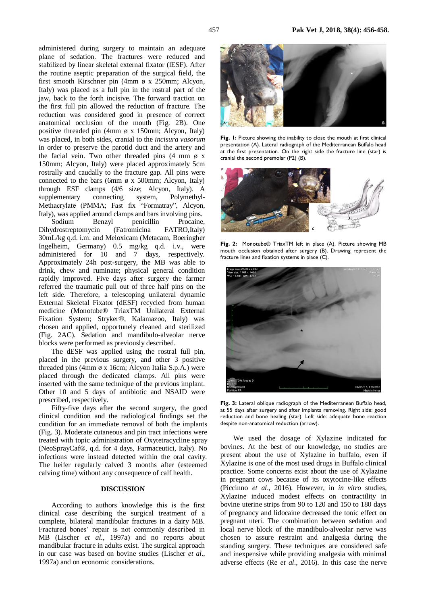administered during surgery to maintain an adequate plane of sedation. The fractures were reduced and stabilized by linear skeletal external fixator (lESF). After the routine aseptic preparation of the surgical field, the first smooth Kirschner pin (4mm ø x 250mm; Alcyon, Italy) was placed as a full pin in the rostral part of the jaw, back to the forth incisive. The forward traction on the first full pin allowed the reduction of fracture. The reduction was considered good in presence of correct anatomical occlusion of the mouth (Fig. 2B). One positive threaded pin (4mm ø x 150mm; Alcyon, Italy) was placed, in both sides, cranial to the *incisura vasorum* in order to preserve the parotid duct and the artery and the facial vein. Two other threaded pins  $(4 \text{ mm } \phi \text{ x})$ 150mm; Alcyon, Italy) were placed approximately 5cm rostrally and caudally to the fracture gap. All pins were connected to the bars (6mm  $\phi$  x 500mm; Alcyon, Italy) through ESF clamps (4/6 size; Alcyon, Italy). A supplementary connecting system, Polymethyl-Methacrylate (PMMA; Fast fix "Formatray", Alcyon, Italy), was applied around clamps and bars involving pins.

Sodium [Benzyl penicillin Procaine,](https://www.google.it/search?espv=2&biw=1517&bih=735&q=benzylpenicillin+sodium+%2B+benzylpenicillin+procaine+%2B+dihydrostreptomycin&spell=1&sa=X&ved=0ahUKEwiCm6iolPfRAhWNSxoKHbH5DLYQvwUIFygA)  [Dihydrostreptomycin](https://www.google.it/search?espv=2&biw=1517&bih=735&q=benzylpenicillin+sodium+%2B+benzylpenicillin+procaine+%2B+dihydrostreptomycin&spell=1&sa=X&ved=0ahUKEwiCm6iolPfRAhWNSxoKHbH5DLYQvwUIFygA) (Fatromicina FATRO,Italy) 30mL/kg q.d. i.m. and Meloxicam (Metacam, Boeringher Ingelheim, Germany) 0.5 mg/kg q.d. i.v., were administered for 10 and 7 days, respectively. Approximately 24h post-surgery, the MB was able to drink, chew and ruminate; physical general condition rapidly improved. Five days after surgery the farmer referred the traumatic pull out of three half pins on the left side. Therefore, a telescoping unilateral dynamic External Skeletal Fixator (dESF) recycled from human medicine (Monotube® TriaxTM Unilateral External Fixation System; Stryker®, Kalamazoo, Italy) was chosen and applied, opportunely cleaned and sterilized (Fig. 2AC). Sedation and mandibulo-alveolar nerve blocks were performed as previously described.

The dESF was applied using the rostral full pin, placed in the previous surgery, and other 3 positive threaded pins (4mm ø x 16cm; Alcyon Italia S.p.A.) were placed through the dedicated clamps. All pins were inserted with the same technique of the previous implant. Other 10 and 5 days of antibiotic and NSAID were prescribed, respectively.

Fifty-five days after the second surgery, the good clinical condition and the radiological findings set the condition for an immediate removal of both the implants (Fig. 3). Moderate cutaneous and pin tract infections were treated with topic administration of Oxytetracycline spray (NeoSprayCaf®, q.d. for 4 days, Farmaceutici, Italy). No infections were instead detected within the oral cavity. The heifer regularly calved 3 months after (esteemed calving time) without any consequence of calf health.

#### **DISCUSSION**

According to authors knowledge this is the first clinical case describing the surgical treatment of a complete, bilateral mandibular fractures in a dairy MB. Fractured bones' repair is not commonly described in MB (Lischer *et al*., 1997a) and no reports about mandibular fracture in adults exist. The surgical approach in our case was based on bovine studies (Lischer *et al*., 1997a) and on economic considerations.



Fig. 1: Picture showing the inability to close the mouth at first clinical presentation (A). Lateral radiograph of the Mediterranean Buffalo head at the first presentation. On the right side the fracture line (star) is cranial the second premolar (P2) (B).



**Fig. 2:** Monotube® TriaxTM left in place (A). Picture showing MB mouth occlusion obtained after surgery (B). Drawing represent the fracture lines and fixation systems in place (C).



**Fig. 3:** Lateral oblique radiograph of the Mediterranean Buffalo head, at 55 days after surgery and after implants removing. Right side: good reduction and bone healing (star). Left side: adequate bone reaction despite non-anatomical reduction (arrow).

We used the dosage of Xylazine indicated for bovines. At the best of our knowledge, no studies are present about the use of Xylazine in buffalo, even if Xylazine is one of the most used drugs in Buffalo clinical practice. Some concerns exist about the use of Xylazine in pregnant cows because of its oxytocine-like effects (Piccinno *et al*., 2016). However, in *in vitro* studies, Xylazine induced modest effects on contractility in bovine uterine strips from 90 to 120 and 150 to 180 days of pregnancy and lidocaine decreased the tonic effect on pregnant uteri. The combination between sedation and local nerve block of the mandibulo-alveolar nerve was chosen to assure restraint and analgesia during the standing surgery. These techniques are considered safe and inexpensive while providing analgesia with minimal adverse effects (Re *et al*., 2016). In this case the nerve